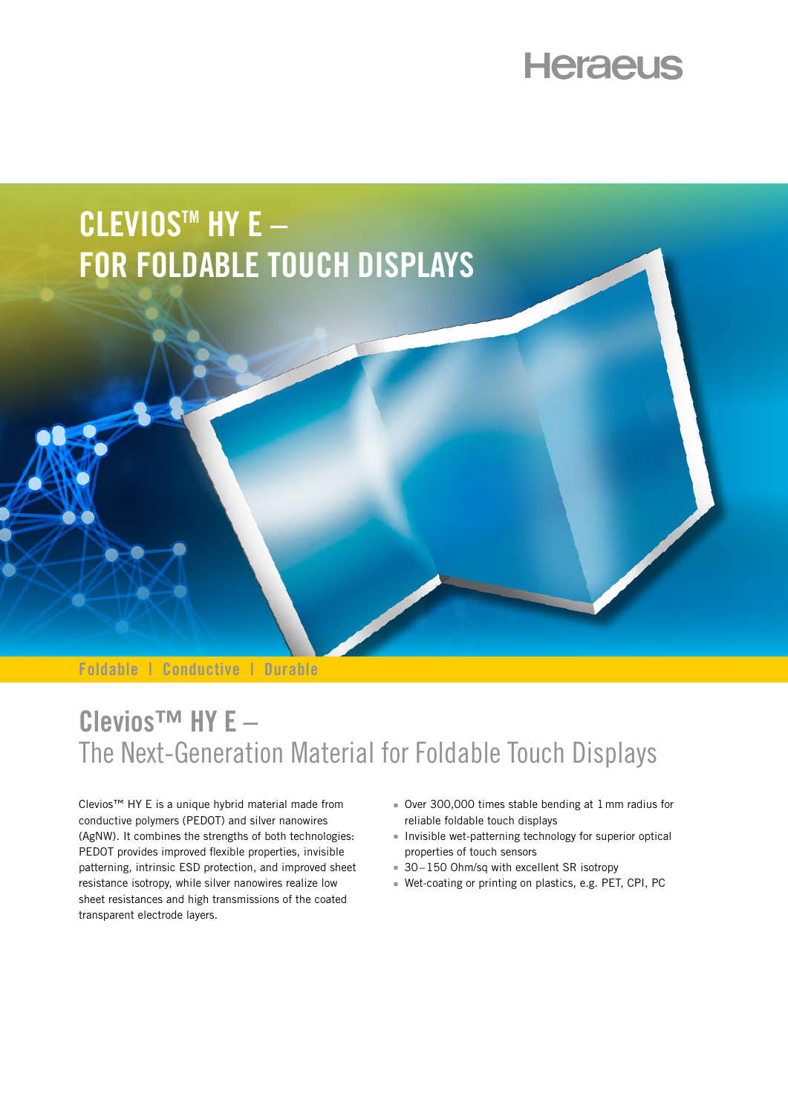# **Heraeus**

# **CLEVIOSTM HY E – FOR FOLDABLE TOUCH DISPLAYS**

**Foldable | Conductive | Durable**

### **Clevios™ HY E –**  The Next-Generation Material for Foldable Touch Displays

Clevios™ HY E is a unique hybrid material made from conductive polymers (PEDOT) and silver nanowires (AgNW). It combines the strengths of both technologies: PEDOT provides improved flexible properties, invisible patterning, intrinsic ESD protection, and improved sheet resistance isotropy, while silver nanowires realize low sheet resistances and high transmissions of the coated transparent electrode layers.

- <sup>n</sup> Over 300,000 times stable bending at 1mm radius for reliable foldable touch displays
- $\blacksquare$  Invisible wet-patterning technology for superior optical properties of touch sensors
- $30-150$  Ohm/sq with excellent SR isotropy
- Wet-coating or printing on plastics, e.g. PET, CPI, PC